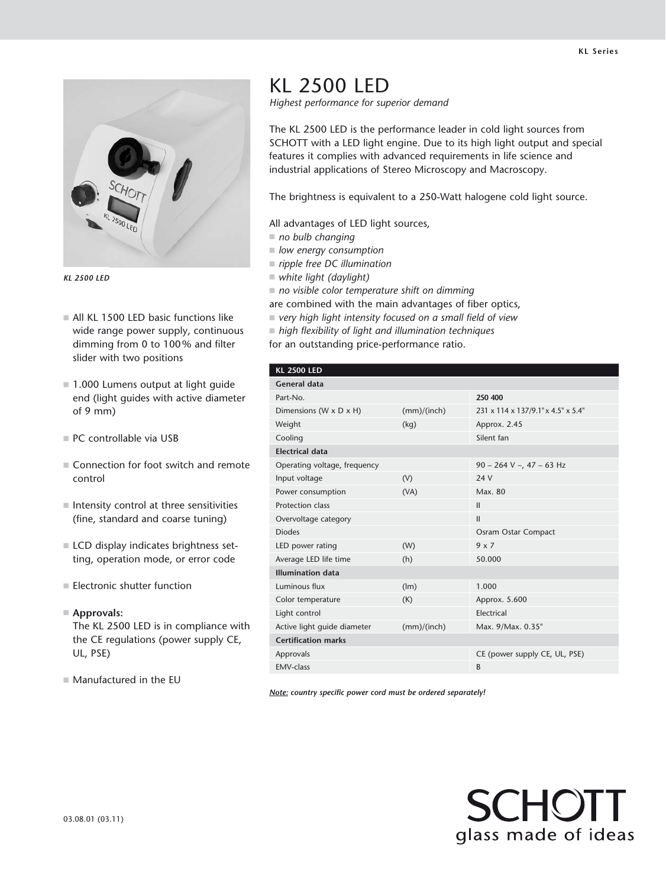

*KL 2500 LED*

- $\blacksquare$  All KL 1500 LED basic functions like wide range power supply, continuous dimming from 0 to 100% and filter slider with two positions
- $\blacksquare$  1.000 Lumens output at light guide end (light guides with active diameter of 9 mm)
- $P$ C controllable via USB
- $\blacksquare$  Connection for foot switch and remote control
- $\blacksquare$  Intensity control at three sensitivities (fine, standard and coarse tuning)
- **LCD** display indicates brightness setting, operation mode, or error code
- $\blacksquare$  Electronic shutter function
- n **Approvals:**

The KL 2500 LED is in compliance with the CE regulations (power supply CE, UL, PSE)

 $M$  Manufactured in the EU

## KL 2500 LED

*Highest performance for superior demand*

The KL 2500 LED is the performance leader in cold light sources from SCHOTT with a LED light engine. Due to its high light output and special features it complies with advanced requirements in life science and industrial applications of Stereo Microscopy and Macroscopy.

The brightness is equivalent to a 250-Watt halogene cold light source.

All advantages of LED light sources,

- $\blacksquare$  no bulb changing
- *low energy consumption*
- *ripple free DC illumination*
- n *white light (daylight)*
- $\blacksquare$  no visible color temperature shift on dimming
- are combined with the main advantages of fiber optics,
- very high light intensity focused on a small field of view
- *high flexibility of light and illumination techniques*

for an outstanding price-performance ratio.

| <b>KL 2500 LED</b> |  |
|--------------------|--|
|                    |  |

| <b>General data</b>          |             |                                    |  |
|------------------------------|-------------|------------------------------------|--|
| Part-No.                     |             | 250 400                            |  |
| Dimensions (W x D x H)       | (mm)/(inch) | 231 x 114 x 137/9.1" x 4.5" x 5.4" |  |
| Weight                       | (kq)        | Approx. 2.45                       |  |
| Cooling                      |             | Silent fan                         |  |
| <b>Electrical data</b>       |             |                                    |  |
| Operating voltage, frequency |             | $90 - 264$ V ~, 47 - 63 Hz         |  |
| Input voltage                | (V)         | 24 V                               |  |
| Power consumption            | (VA)        | Max. 80                            |  |
| Protection class             |             | $\mathbf{II}$                      |  |
| Overvoltage category         |             | $\mathbf{II}$                      |  |
| <b>Diodes</b>                |             | Osram Ostar Compact                |  |
| LED power rating             | (W)         | $9 \times 7$                       |  |
| Average LED life time        | (h)         | 50.000                             |  |
| <b>Illumination data</b>     |             |                                    |  |
| Luminous flux                | (lm)        | 1.000                              |  |
| Color temperature            | (K)         | Approx. 5.600                      |  |
| Light control                |             | Electrical                         |  |
| Active light guide diameter  | (mm)/(inch) | Max. 9/Max. 0.35"                  |  |
| <b>Certification marks</b>   |             |                                    |  |
| Approvals                    |             | CE (power supply CE, UL, PSE)      |  |
| <b>FMV-class</b>             |             | B                                  |  |

*Note: country specific power cord must be ordered separately!*